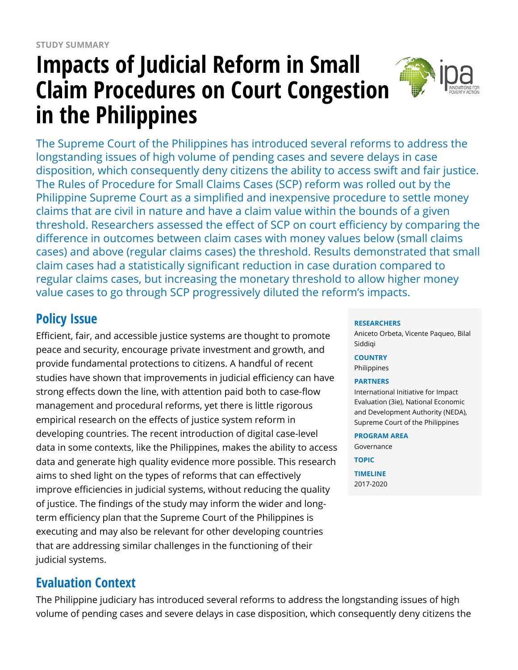# **Impacts of Judicial Reform in Small Claim Procedures on Court Congestion in the Philippines**



The Supreme Court of the Philippines has introduced several reforms to address the longstanding issues of high volume of pending cases and severe delays in case disposition, which consequently deny citizens the ability to access swift and fair justice. The Rules of Procedure for Small Claims Cases (SCP) reform was rolled out by the Philippine Supreme Court as a simplified and inexpensive procedure to settle money claims that are civil in nature and have a claim value within the bounds of a given threshold. Researchers assessed the effect of SCP on court efficiency by comparing the difference in outcomes between claim cases with money values below (small claims cases) and above (regular claims cases) the threshold. Results demonstrated that small claim cases had a statistically significant reduction in case duration compared to regular claims cases, but increasing the monetary threshold to allow higher money value cases to go through SCP progressively diluted the reform's impacts.

# **Policy Issue**

Efficient, fair, and accessible justice systems are thought to promote peace and security, encourage private investment and growth, and provide fundamental protections to citizens. A handful of recent studies have shown that improvements in judicial efficiency can have strong effects down the line, with attention paid both to case-flow management and procedural reforms, yet there is little rigorous empirical research on the effects of justice system reform in developing countries. The recent introduction of digital case-level data in some contexts, like the Philippines, makes the ability to access data and generate high quality evidence more possible. This research aims to shed light on the types of reforms that can effectively improve efficiencies in judicial systems, without reducing the quality of justice. The findings of the study may inform the wider and longterm efficiency plan that the Supreme Court of the Philippines is executing and may also be relevant for other developing countries that are addressing similar challenges in the functioning of their judicial systems.

# **Evaluation Context**

The Philippine judiciary has introduced several reforms to address the longstanding issues of high volume of pending cases and severe delays in case disposition, which consequently deny citizens the

#### **RESEARCHERS**

Aniceto Orbeta, Vicente Paqueo, Bilal Siddiqi

#### **COUNTRY**

Philippines

#### **PARTNERS**

International Initiative for Impact Evaluation (3ie), National Economic and Development Authority (NEDA), Supreme Court of the Philippines

#### **PROGRAM AREA**

Governance

#### **TOPIC**

**TIMELINE** 2017-2020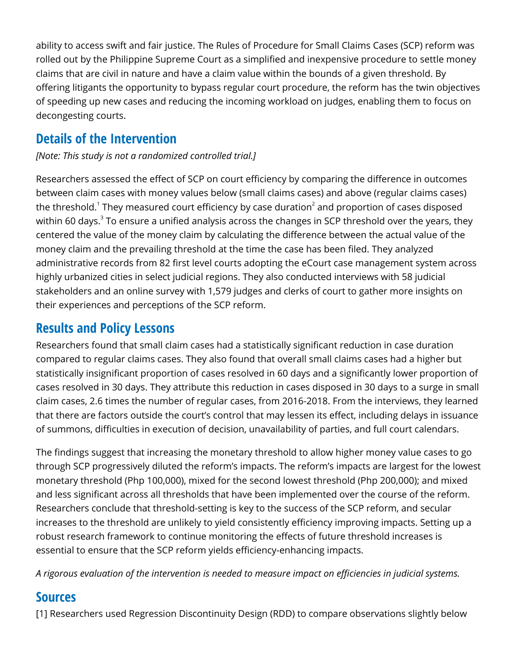ability to access swift and fair justice. The Rules of Procedure for Small Claims Cases (SCP) reform was rolled out by the Philippine Supreme Court as a simplified and inexpensive procedure to settle money claims that are civil in nature and have a claim value within the bounds of a given threshold. By offering litigants the opportunity to bypass regular court procedure, the reform has the twin objectives of speeding up new cases and reducing the incoming workload on judges, enabling them to focus on decongesting courts.

# **Details of the Intervention**

*[Note: This study is not a randomized controlled trial.]*

Researchers assessed the effect of SCP on court efficiency by comparing the difference in outcomes between claim cases with money values below (small claims cases) and above (regular claims cases) the threshold. $^{\rm 1}$  They measured court efficiency by case duration $^{\rm 2}$  and proportion of cases disposed within 60 days. $^3$  To ensure a unified analysis across the changes in SCP threshold over the years, they centered the value of the money claim by calculating the difference between the actual value of the money claim and the prevailing threshold at the time the case has been filed. They analyzed administrative records from 82 first level courts adopting the eCourt case management system across highly urbanized cities in select judicial regions. They also conducted interviews with 58 judicial stakeholders and an online survey with 1,579 judges and clerks of court to gather more insights on their experiences and perceptions of the SCP reform.

## **Results and Policy Lessons**

Researchers found that small claim cases had a statistically significant reduction in case duration compared to regular claims cases. They also found that overall small claims cases had a higher but statistically insignificant proportion of cases resolved in 60 days and a significantly lower proportion of cases resolved in 30 days. They attribute this reduction in cases disposed in 30 days to a surge in small claim cases, 2.6 times the number of regular cases, from 2016-2018. From the interviews, they learned that there are factors outside the court's control that may lessen its effect, including delays in issuance of summons, difficulties in execution of decision, unavailability of parties, and full court calendars.

The findings suggest that increasing the monetary threshold to allow higher money value cases to go through SCP progressively diluted the reform's impacts. The reform's impacts are largest for the lowest monetary threshold (Php 100,000), mixed for the second lowest threshold (Php 200,000); and mixed and less significant across all thresholds that have been implemented over the course of the reform. Researchers conclude that threshold-setting is key to the success of the SCP reform, and secular increases to the threshold are unlikely to yield consistently efficiency improving impacts. Setting up a robust research framework to continue monitoring the effects of future threshold increases is essential to ensure that the SCP reform yields efficiency-enhancing impacts.

*A rigorous evaluation of the intervention is needed to measure impact on efficiencies in judicial systems.*

## **Sources**

[1] Researchers used Regression Discontinuity Design (RDD) to compare observations slightly below